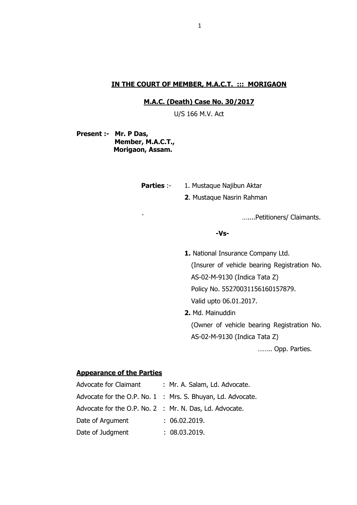# **IN THE COURT OF MEMBER, M.A.C.T. ::: MORIGAON**

**M.A.C. (Death) Case No. 30/2017**

U/S 166 M.V. Act

#### **Present :- Mr. P Das, Member, M.A.C.T., Morigaon, Assam.**

**Parties** :- 1. Mustaque Najibun Aktar

**2**. Mustaque Nasrin Rahman

` …....Petitioners/ Claimants.

### **-Vs-**

- **1.** National Insurance Company Ltd. (Insurer of vehicle bearing Registration No. AS-02-M-9130 (Indica Tata Z) Policy No. 55270031156160157879. Valid upto 06.01.2017.
- **2.** Md. Mainuddin (Owner of vehicle bearing Registration No. AS-02-M-9130 (Indica Tata Z)

…….. Opp. Parties.

## **Appearance of the Parties**

| Advocate for Claimant                                   | : Mr. A. Salam, Ld. Advocate.                               |
|---------------------------------------------------------|-------------------------------------------------------------|
|                                                         | Advocate for the O.P. No. 1 : Mrs. S. Bhuyan, Ld. Advocate. |
| Advocate for the O.P. No. 2 : Mr. N. Das, Ld. Advocate. |                                                             |
| Date of Argument                                        | : 06.02.2019.                                               |
| Date of Judgment                                        | : 08.03.2019.                                               |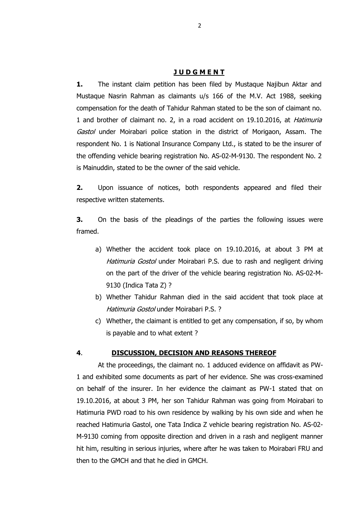#### **J U D G M E N T**

**1.** The instant claim petition has been filed by Mustaque Najibun Aktar and Mustaque Nasrin Rahman as claimants u/s 166 of the M.V. Act 1988, seeking compensation for the death of Tahidur Rahman stated to be the son of claimant no. 1 and brother of claimant no. 2, in a road accident on 19.10.2016, at Hatimuria Gastol under Moirabari police station in the district of Morigaon, Assam. The respondent No. 1 is National Insurance Company Ltd., is stated to be the insurer of the offending vehicle bearing registration No. AS-02-M-9130. The respondent No. 2 is Mainuddin, stated to be the owner of the said vehicle.

**2.** Upon issuance of notices, both respondents appeared and filed their respective written statements.

**3.** On the basis of the pleadings of the parties the following issues were framed.

- a) Whether the accident took place on 19.10.2016, at about 3 PM at Hatimuria Gostol under Moirabari P.S. due to rash and negligent driving on the part of the driver of the vehicle bearing registration No. AS-02-M-9130 (Indica Tata Z) ?
- b) Whether Tahidur Rahman died in the said accident that took place at Hatimuria Gostol under Moirabari P.S. ?
- c) Whether, the claimant is entitled to get any compensation, if so, by whom is payable and to what extent ?

#### **4**. **DISCUSSION, DECISION AND REASONS THEREOF**

At the proceedings, the claimant no. 1 adduced evidence on affidavit as PW-1 and exhibited some documents as part of her evidence. She was cross-examined on behalf of the insurer. In her evidence the claimant as PW-1 stated that on 19.10.2016, at about 3 PM, her son Tahidur Rahman was going from Moirabari to Hatimuria PWD road to his own residence by walking by his own side and when he reached Hatimuria Gastol, one Tata Indica Z vehicle bearing registration No. AS-02- M-9130 coming from opposite direction and driven in a rash and negligent manner hit him, resulting in serious injuries, where after he was taken to Moirabari FRU and then to the GMCH and that he died in GMCH.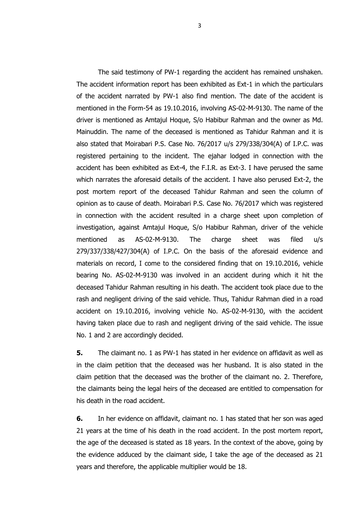The said testimony of PW-1 regarding the accident has remained unshaken. The accident information report has been exhibited as Ext-1 in which the particulars of the accident narrated by PW-1 also find mention. The date of the accident is mentioned in the Form-54 as 19.10.2016, involving AS-02-M-9130. The name of the driver is mentioned as Amtajul Hoque, S/o Habibur Rahman and the owner as Md. Mainuddin. The name of the deceased is mentioned as Tahidur Rahman and it is also stated that Moirabari P.S. Case No. 76/2017 u/s 279/338/304(A) of I.P.C. was registered pertaining to the incident. The ejahar lodged in connection with the accident has been exhibited as Ext-4, the F.I.R. as Ext-3. I have perused the same which narrates the aforesaid details of the accident. I have also perused Ext-2, the post mortem report of the deceased Tahidur Rahman and seen the column of opinion as to cause of death. Moirabari P.S. Case No. 76/2017 which was registered in connection with the accident resulted in a charge sheet upon completion of investigation, against Amtajul Hoque, S/o Habibur Rahman, driver of the vehicle mentioned as AS-02-M-9130. The charge sheet was filed u/s 279/337/338/427/304(A) of I.P.C. On the basis of the aforesaid evidence and materials on record, I come to the considered finding that on 19.10.2016, vehicle bearing No. AS-02-M-9130 was involved in an accident during which it hit the deceased Tahidur Rahman resulting in his death. The accident took place due to the rash and negligent driving of the said vehicle. Thus, Tahidur Rahman died in a road accident on 19.10.2016, involving vehicle No. AS-02-M-9130, with the accident having taken place due to rash and negligent driving of the said vehicle. The issue No. 1 and 2 are accordingly decided.

**5.** The claimant no. 1 as PW-1 has stated in her evidence on affidavit as well as in the claim petition that the deceased was her husband. It is also stated in the claim petition that the deceased was the brother of the claimant no. 2. Therefore, the claimants being the legal heirs of the deceased are entitled to compensation for his death in the road accident.

**6.** In her evidence on affidavit, claimant no. 1 has stated that her son was aged 21 years at the time of his death in the road accident. In the post mortem report, the age of the deceased is stated as 18 years. In the context of the above, going by the evidence adduced by the claimant side, I take the age of the deceased as 21 years and therefore, the applicable multiplier would be 18.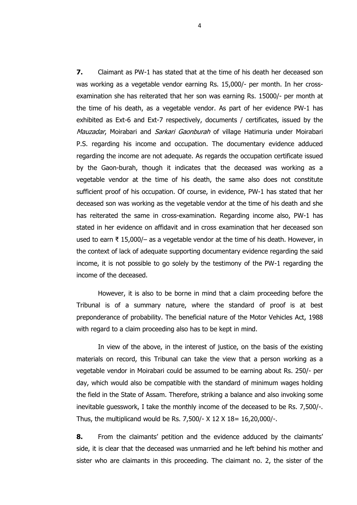**7.** Claimant as PW-1 has stated that at the time of his death her deceased son was working as a vegetable vendor earning Rs. 15,000/- per month. In her crossexamination she has reiterated that her son was earning Rs. 15000/- per month at the time of his death, as a vegetable vendor. As part of her evidence PW-1 has exhibited as Ext-6 and Ext-7 respectively, documents / certificates, issued by the Mauzadar, Moirabari and Sarkari Gaonburah of village Hatimuria under Moirabari P.S. regarding his income and occupation. The documentary evidence adduced regarding the income are not adequate. As regards the occupation certificate issued by the Gaon-burah, though it indicates that the deceased was working as a vegetable vendor at the time of his death, the same also does not constitute sufficient proof of his occupation. Of course, in evidence, PW-1 has stated that her deceased son was working as the vegetable vendor at the time of his death and she has reiterated the same in cross-examination. Regarding income also, PW-1 has stated in her evidence on affidavit and in cross examination that her deceased son used to earn ₹ 15,000/– as a vegetable vendor at the time of his death. However, in the context of lack of adequate supporting documentary evidence regarding the said income, it is not possible to go solely by the testimony of the PW-1 regarding the income of the deceased.

However, it is also to be borne in mind that a claim proceeding before the Tribunal is of a summary nature, where the standard of proof is at best preponderance of probability. The beneficial nature of the Motor Vehicles Act, 1988 with regard to a claim proceeding also has to be kept in mind.

In view of the above, in the interest of justice, on the basis of the existing materials on record, this Tribunal can take the view that a person working as a vegetable vendor in Moirabari could be assumed to be earning about Rs. 250/- per day, which would also be compatible with the standard of minimum wages holding the field in the State of Assam. Therefore, striking a balance and also invoking some inevitable guesswork, I take the monthly income of the deceased to be Rs. 7,500/-. Thus, the multiplicand would be Rs. 7,500/- X 12 X 18= 16,20,000/-.

**8.** From the claimants' petition and the evidence adduced by the claimants' side, it is clear that the deceased was unmarried and he left behind his mother and sister who are claimants in this proceeding. The claimant no. 2, the sister of the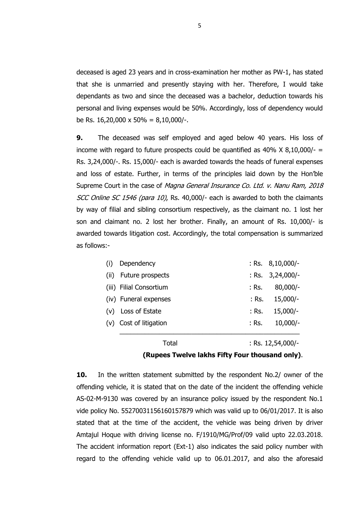deceased is aged 23 years and in cross-examination her mother as PW-1, has stated that she is unmarried and presently staying with her. Therefore, I would take dependants as two and since the deceased was a bachelor, deduction towards his personal and living expenses would be 50%. Accordingly, loss of dependency would be Rs. 16,20,000 x 50% =  $8,10,000/$ -.

**9.** The deceased was self employed and aged below 40 years. His loss of income with regard to future prospects could be quantified as  $40\%$  X 8,10,000/- = Rs. 3,24,000/-. Rs. 15,000/- each is awarded towards the heads of funeral expenses and loss of estate. Further, in terms of the principles laid down by the Hon'ble Supreme Court in the case of Magna General Insurance Co. Ltd. v. Nanu Ram, 2018 SCC Online SC 1546 (para 10), Rs. 40,000/- each is awarded to both the claimants by way of filial and sibling consortium respectively, as the claimant no. 1 lost her son and claimant no. 2 lost her brother. Finally, an amount of Rs. 10,000/- is awarded towards litigation cost. Accordingly, the total compensation is summarized as follows:-

| Dependency                        |       | : Rs. $8,10,000$ /- |
|-----------------------------------|-------|---------------------|
| Future prospects<br>(ii)          |       | : Rs. $3,24,000/-$  |
| <b>Filial Consortium</b><br>(iii) | : Rs. | $80,000/-$          |
| (iv) Funeral expenses             | : Rs. | 15,000/-            |
| Loss of Estate<br>(v)             | : Rs. | $15,000/-$          |
| Cost of litigation<br>(v)         | : Rs. | $10,000/-$          |
|                                   |       |                     |

Total : Rs. 12,54,000/-

#### **(Rupees Twelve lakhs Fifty Four thousand only)**.

**10.** In the written statement submitted by the respondent No.2/ owner of the offending vehicle, it is stated that on the date of the incident the offending vehicle AS-02-M-9130 was covered by an insurance policy issued by the respondent No.1 vide policy No. 55270031156160157879 which was valid up to 06/01/2017. It is also stated that at the time of the accident, the vehicle was being driven by driver Amtajul Hoque with driving license no. F/1910/MG/Prof/09 valid upto 22.03.2018. The accident information report (Ext-1) also indicates the said policy number with regard to the offending vehicle valid up to 06.01.2017, and also the aforesaid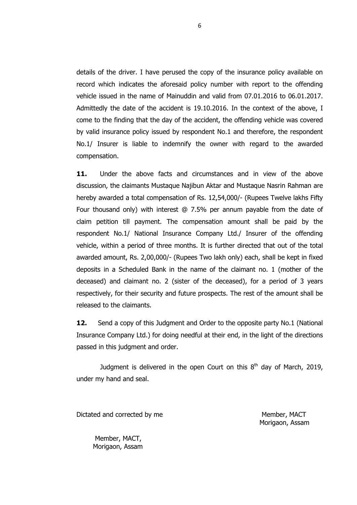details of the driver. I have perused the copy of the insurance policy available on record which indicates the aforesaid policy number with report to the offending vehicle issued in the name of Mainuddin and valid from 07.01.2016 to 06.01.2017. Admittedly the date of the accident is 19.10.2016. In the context of the above, I come to the finding that the day of the accident, the offending vehicle was covered by valid insurance policy issued by respondent No.1 and therefore, the respondent No.1/ Insurer is liable to indemnify the owner with regard to the awarded compensation.

11. Under the above facts and circumstances and in view of the above discussion, the claimants Mustaque Najibun Aktar and Mustaque Nasrin Rahman are hereby awarded a total compensation of Rs. 12,54,000/- (Rupees Twelve lakhs Fifty Four thousand only) with interest @ 7.5% per annum payable from the date of claim petition till payment. The compensation amount shall be paid by the respondent No.1/ National Insurance Company Ltd./ Insurer of the offending vehicle, within a period of three months. It is further directed that out of the total awarded amount, Rs. 2,00,000/- (Rupees Two lakh only) each, shall be kept in fixed deposits in a Scheduled Bank in the name of the claimant no. 1 (mother of the deceased) and claimant no. 2 (sister of the deceased), for a period of 3 years respectively, for their security and future prospects. The rest of the amount shall be released to the claimants.

**12.** Send a copy of this Judgment and Order to the opposite party No.1 (National Insurance Company Ltd.) for doing needful at their end, in the light of the directions passed in this judgment and order.

Judgment is delivered in the open Court on this  $8<sup>th</sup>$  day of March, 2019, under my hand and seal.

Dictated and corrected by me Member, MACT

Morigaon, Assam

 Member, MACT, Morigaon, Assam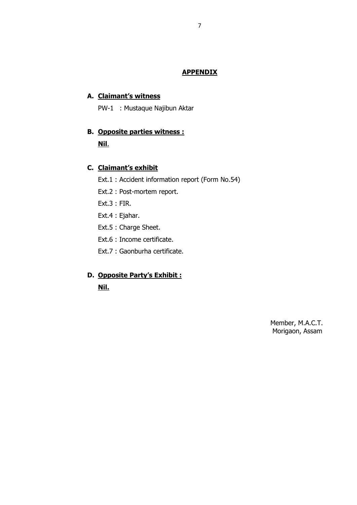## **APPENDIX**

# **A. Claimant's witness**

PW-1 : Mustaque Najibun Aktar

# **B. Opposite parties witness : Nil**.

# **C. Claimant's exhibit**

- Ext.1 : Accident information report (Form No.54)
- Ext.2 : Post-mortem report.
- Ext.3 : FIR.
- Ext.4 : Ejahar.
- Ext.5 : Charge Sheet.
- Ext.6 : Income certificate.
- Ext.7 : Gaonburha certificate.

# **D. Opposite Party's Exhibit : Nil.**

Member, M.A.C.T. Morigaon, Assam